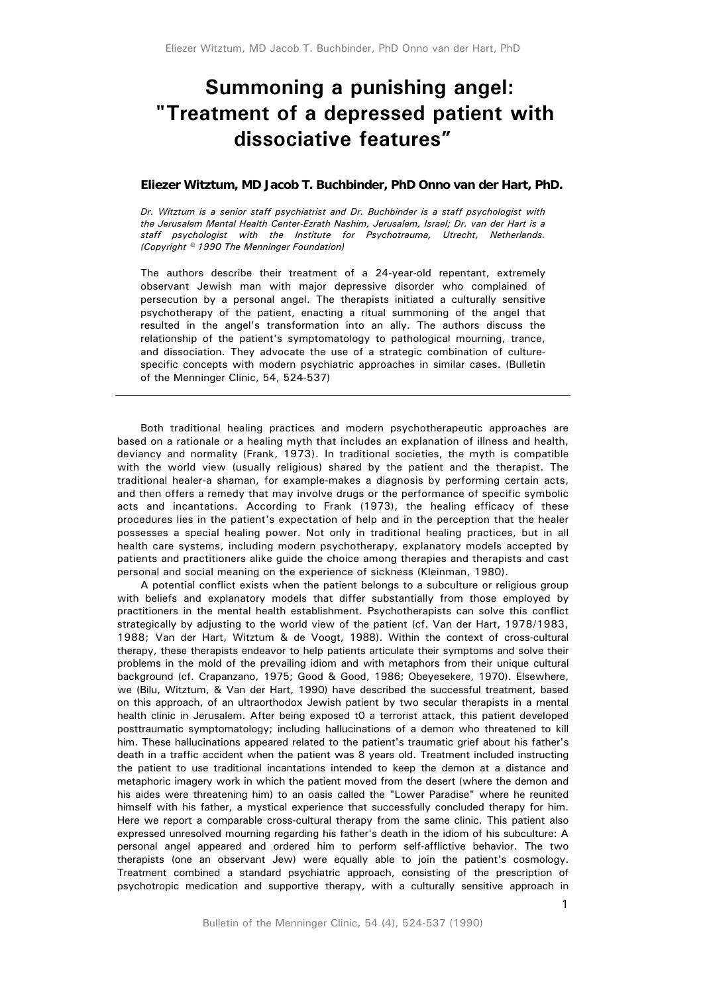# **Summoning a punishing angel: "Treatment of a depressed patient with dissociative features"**

#### **Eliezer Witztum, MD Jacob T. Buchbinder, PhD Onno van der Hart, PhD.**

*Dr. Witztum is a senior staff psychiatrist and Dr. Buchbinder is a staff psychologist with the Jerusalem Mental Health Center-Ezrath Nashim, Jerusalem, Israel; Dr. van der Hart is a staff psychologist with the Institute for Psychotrauma, Utrecht, Netherlands. (Copyright © 1990 The Menninger Foundation)* 

The authors describe their treatment of a 24-year-old repentant, extremely observant Jewish man with major depressive disorder who complained of persecution by a personal angel. The therapists initiated a culturally sensitive psychotherapy of the patient, enacting a ritual summoning of the angel that resulted in the angel's transformation into an ally. The authors discuss the relationship of the patient's symptomatology to pathological mourning, trance, and dissociation. They advocate the use of a strategic combination of culturespecific concepts with modern psychiatric approaches in similar cases. (Bulletin of the Menninger Clinic, 54, 524-537)

Both traditional healing practices and modern psychotherapeutic approaches are based on a rationale or a healing myth that includes an explanation of illness and health, deviancy and normality (Frank, 1973). In traditional societies, the myth is compatible with the world view (usually religious) shared by the patient and the therapist. The traditional healer-a shaman, for example-makes a diagnosis by performing certain acts, and then offers a remedy that may involve drugs or the performance of specific symbolic acts and incantations. According to Frank (1973), the healing efficacy of these procedures lies in the patient's expectation of help and in the perception that the healer possesses a special healing power. Not only in traditional healing practices, but in all health care systems, including modern psychotherapy, explanatory models accepted by patients and practitioners alike guide the choice among therapies and therapists and cast personal and social meaning on the experience of sickness (Kleinman, 1980).

A potential conflict exists when the patient belongs to a subculture or religious group with beliefs and explanatory models that differ substantially from those employed by practitioners in the mental health establishment. Psychotherapists can solve this conflict strategically by adjusting to the world view of the patient (cf. Van der Hart, 1978/1983, 1988; Van der Hart, Witztum & de Voogt, 1988). Within the context of cross-cultural therapy, these therapists endeavor to help patients articulate their symptoms and solve their problems in the mold of the prevailing idiom and with metaphors from their unique cultural background (cf. Crapanzano, 1975; Good & Good, 1986; Obeyesekere, 1970). Elsewhere, we (Bilu, Witztum, & Van der Hart, 1990) have described the successful treatment, based on this approach, of an ultraorthodox Jewish patient by two secular therapists in a mental health clinic in Jerusalem. After being exposed t0 a terrorist attack, this patient developed posttraumatic symptomatology; including hallucinations of a demon who threatened to kill him. These hallucinations appeared related to the patient's traumatic grief about his father's death in a traffic accident when the patient was 8 years old. Treatment included instructing the patient to use traditional incantations intended to keep the demon at a distance and metaphoric imagery work in which the patient moved from the desert (where the demon and his aides were threatening him) to an oasis called the "Lower Paradise" where he reunited himself with his father, a mystical experience that successfully concluded therapy for him. Here we report a comparable cross-cultural therapy from the same clinic. This patient also expressed unresolved mourning regarding his father's death in the idiom of his subculture: A personal angel appeared and ordered him to perform self-afflictive behavior. The two therapists (one an observant Jew) were equally able to join the patient's cosmology. Treatment combined a standard psychiatric approach, consisting of the prescription of psychotropic medication and supportive therapy, with a culturally sensitive approach in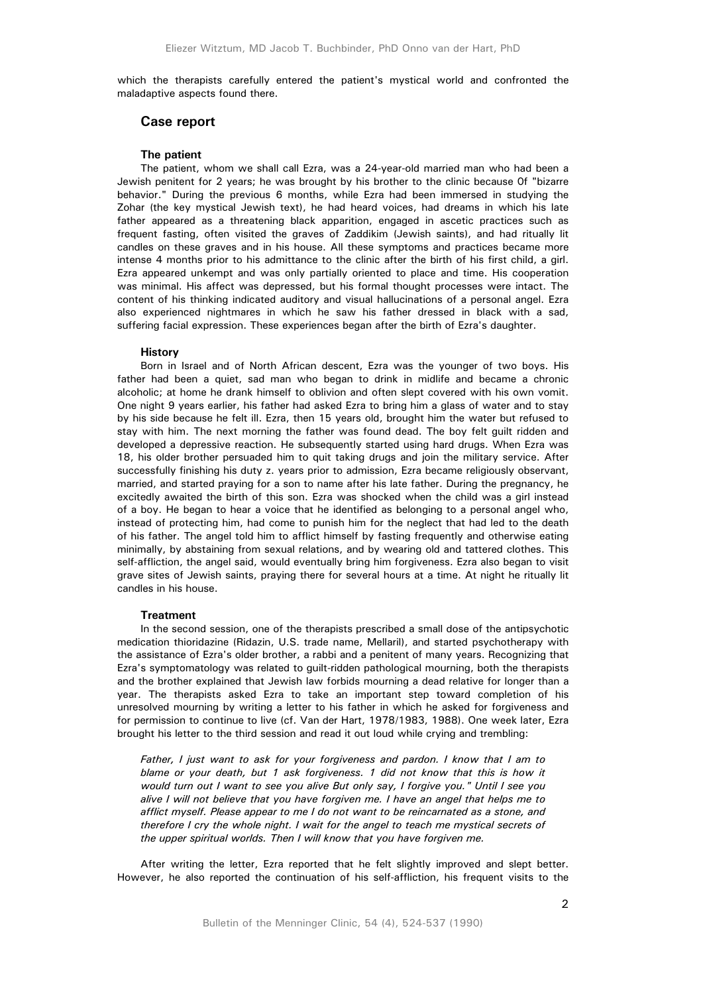which the therapists carefully entered the patient's mystical world and confronted the maladaptive aspects found there.

### **Case report**

#### **The patient**

The patient, whom we shall call Ezra, was a 24-year-old married man who had been a Jewish penitent for 2 years; he was brought by his brother to the clinic because 0f "bizarre behavior." During the previous 6 months, while Ezra had been immersed in studying the Zohar (the key mystical Jewish text), he had heard voices, had dreams in which his late father appeared as a threatening black apparition, engaged in ascetic practices such as frequent fasting, often visited the graves of Zaddikim (Jewish saints), and had ritually lit candles on these graves and in his house. All these symptoms and practices became more intense 4 months prior to his admittance to the clinic after the birth of his first child, a girl. Ezra appeared unkempt and was only partially oriented to place and time. His cooperation was minimal. His affect was depressed, but his formal thought processes were intact. The content of his thinking indicated auditory and visual hallucinations of a personal angel. Ezra also experienced nightmares in which he saw his father dressed in black with a sad, suffering facial expression. These experiences began after the birth of Ezra's daughter.

#### **History**

Born in Israel and of North African descent, Ezra was the younger of two boys. His father had been a quiet, sad man who began to drink in midlife and became a chronic alcoholic; at home he drank himself to oblivion and often slept covered with his own vomit. One night 9 years earlier, his father had asked Ezra to bring him a glass of water and to stay by his side because he felt ill. Ezra, then 15 years old, brought him the water but refused to stay with him. The next morning the father was found dead. The boy felt guilt ridden and developed a depressive reaction. He subsequently started using hard drugs. When Ezra was 18, his older brother persuaded him to quit taking drugs and join the military service. After successfully finishing his duty z. years prior to admission, Ezra became religiously observant, married, and started praying for a son to name after his late father. During the pregnancy, he excitedly awaited the birth of this son. Ezra was shocked when the child was a girl instead of a boy. He began to hear a voice that he identified as belonging to a personal angel who, instead of protecting him, had come to punish him for the neglect that had led to the death of his father. The angel told him to afflict himself by fasting frequently and otherwise eating minimally, by abstaining from sexual relations, and by wearing old and tattered clothes. This self-affliction, the angel said, would eventually bring him forgiveness. Ezra also began to visit grave sites of Jewish saints, praying there for several hours at a time. At night he ritually lit candles in his house.

#### **Treatment**

In the second session, one of the therapists prescribed a small dose of the antipsychotic medication thioridazine (Ridazin, U.S. trade name, Mellaril), and started psychotherapy with the assistance of Ezra's older brother, a rabbi and a penitent of many years. Recognizing that Ezra's symptomatology was related to guilt-ridden pathological mourning, both the therapists and the brother explained that Jewish law forbids mourning a dead relative for longer than a year. The therapists asked Ezra to take an important step toward completion of his unresolved mourning by writing a letter to his father in which he asked for forgiveness and for permission to continue to live (cf. Van der Hart, 1978/1983, 1988). One week later, Ezra brought his letter to the third session and read it out loud while crying and trembling:

*Father, I just want to ask for your forgiveness and pardon. I know that I am to*  blame or your death, but 1 ask forgiveness. 1 did not know that this is how it *would turn out I want to see you alive But only say, I forgive you." Until I see you alive I will not believe that you have forgiven me. I have an angel that helps me to afflict myself. Please appear to me I do not want to be reincarnated as a stone, and therefore I cry the whole night. I wait for the angel to teach me mystical secrets of the upper spiritual worlds. Then I will know that you have forgiven me.* 

After writing the letter, Ezra reported that he felt slightly improved and slept better. However, he also reported the continuation of his self-affliction, his frequent visits to the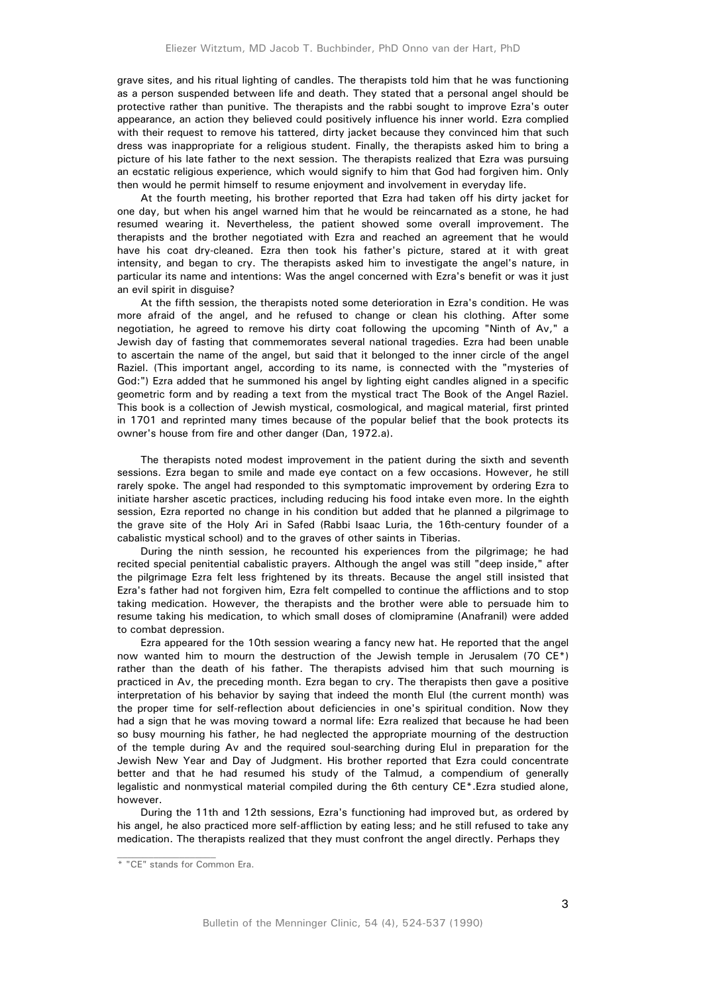grave sites, and his ritual lighting of candles. The therapists told him that he was functioning as a person suspended between life and death. They stated that a personal angel should be protective rather than punitive. The therapists and the rabbi sought to improve Ezra's outer appearance, an action they believed could positively influence his inner world. Ezra complied with their request to remove his tattered, dirty jacket because they convinced him that such dress was inappropriate for a religious student. Finally, the therapists asked him to bring a picture of his late father to the next session. The therapists realized that Ezra was pursuing an ecstatic religious experience, which would signify to him that God had forgiven him. Only then would he permit himself to resume enjoyment and involvement in everyday life.

At the fourth meeting, his brother reported that Ezra had taken off his dirty jacket for one day, but when his angel warned him that he would be reincarnated as a stone, he had resumed wearing it. Nevertheless, the patient showed some overall improvement. The therapists and the brother negotiated with Ezra and reached an agreement that he would have his coat dry-cleaned. Ezra then took his father's picture, stared at it with great intensity, and began to cry. The therapists asked him to investigate the angel's nature, in particular its name and intentions: Was the angel concerned with Ezra's benefit or was it just an evil spirit in disguise?

At the fifth session, the therapists noted some deterioration in Ezra's condition. He was more afraid of the angel, and he refused to change or clean his clothing. After some negotiation, he agreed to remove his dirty coat following the upcoming "Ninth of Av," a Jewish day of fasting that commemorates several national tragedies. Ezra had been unable to ascertain the name of the angel, but said that it belonged to the inner circle of the angel Raziel. (This important angel, according to its name, is connected with the "mysteries of God:") Ezra added that he summoned his angel by lighting eight candles aligned in a specific geometric form and by reading a text from the mystical tract The Book of the Angel Raziel. This book is a collection of Jewish mystical, cosmological, and magical material, first printed in 1701 and reprinted many times because of the popular belief that the book protects its owner's house from fire and other danger (Dan, 1972.a).

The therapists noted modest improvement in the patient during the sixth and seventh sessions. Ezra began to smile and made eye contact on a few occasions. However, he still rarely spoke. The angel had responded to this symptomatic improvement by ordering Ezra to initiate harsher ascetic practices, including reducing his food intake even more. In the eighth session, Ezra reported no change in his condition but added that he planned a pilgrimage to the grave site of the Holy Ari in Safed (Rabbi Isaac Luria, the 16th-century founder of a cabalistic mystical school) and to the graves of other saints in Tiberias.

During the ninth session, he recounted his experiences from the pilgrimage; he had recited special penitential cabalistic prayers. Although the angel was still "deep inside," after the pilgrimage Ezra felt less frightened by its threats. Because the angel still insisted that Ezra's father had not forgiven him, Ezra felt compelled to continue the afflictions and to stop taking medication. However, the therapists and the brother were able to persuade him to resume taking his medication, to which small doses of clomipramine (Anafranil) were added to combat depression.

Ezra appeared for the 10th session wearing a fancy new hat. He reported that the angel now wanted him to mourn the destruction of the Jewish temple in Jerusalem (70 CE\*) rather than the death of his father. The therapists advised him that such mourning is practiced in Av, the preceding month. Ezra began to cry. The therapists then gave a positive interpretation of his behavior by saying that indeed the month Elul (the current month) was the proper time for self-reflection about deficiencies in one's spiritual condition. Now they had a sign that he was moving toward a normal life: Ezra realized that because he had been so busy mourning his father, he had neglected the appropriate mourning of the destruction of the temple during Av and the required soul-searching during Elul in preparation for the Jewish New Year and Day of Judgment. His brother reported that Ezra could concentrate better and that he had resumed his study of the Talmud, a compendium of generally legalistic and nonmystical material compiled during the 6th century CE\*.Ezra studied alone, however.

During the 11th and 12th sessions, Ezra's functioning had improved but, as ordered by his angel, he also practiced more self-affliction by eating less; and he still refused to take any medication. The therapists realized that they must confront the angel directly. Perhaps they

<sup>\* &</sup>quot;CE" stands for Common Era.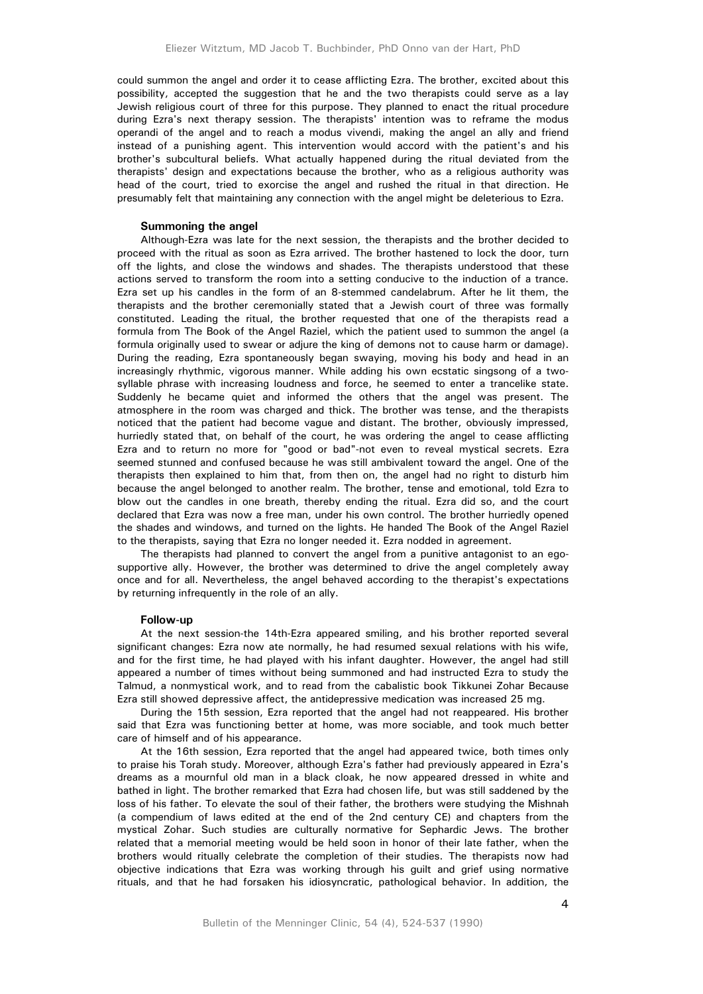could summon the angel and order it to cease afflicting Ezra. The brother, excited about this possibility, accepted the suggestion that he and the two therapists could serve as a lay Jewish religious court of three for this purpose. They planned to enact the ritual procedure during Ezra's next therapy session. The therapists' intention was to reframe the modus operandi of the angel and to reach a modus vivendi, making the angel an ally and friend instead of a punishing agent. This intervention would accord with the patient's and his brother's subcultural beliefs. What actually happened during the ritual deviated from the therapists' design and expectations because the brother, who as a religious authority was head of the court, tried to exorcise the angel and rushed the ritual in that direction. He presumably felt that maintaining any connection with the angel might be deleterious to Ezra.

# **Summoning the angel**

Although-Ezra was late for the next session, the therapists and the brother decided to proceed with the ritual as soon as Ezra arrived. The brother hastened to lock the door, turn off the lights, and close the windows and shades. The therapists understood that these actions served to transform the room into a setting conducive to the induction of a trance. Ezra set up his candles in the form of an 8-stemmed candelabrum. After he lit them, the therapists and the brother ceremonially stated that a Jewish court of three was formally constituted. Leading the ritual, the brother requested that one of the therapists read a formula from The Book of the Angel Raziel, which the patient used to summon the angel (a formula originally used to swear or adjure the king of demons not to cause harm or damage). During the reading, Ezra spontaneously began swaying, moving his body and head in an increasingly rhythmic, vigorous manner. While adding his own ecstatic singsong of a twosyllable phrase with increasing loudness and force, he seemed to enter a trancelike state. Suddenly he became quiet and informed the others that the angel was present. The atmosphere in the room was charged and thick. The brother was tense, and the therapists noticed that the patient had become vague and distant. The brother, obviously impressed, hurriedly stated that, on behalf of the court, he was ordering the angel to cease afflicting Ezra and to return no more for "good or bad"-not even to reveal mystical secrets. Ezra seemed stunned and confused because he was still ambivalent toward the angel. One of the therapists then explained to him that, from then on, the angel had no right to disturb him because the angel belonged to another realm. The brother, tense and emotional, told Ezra to blow out the candles in one breath, thereby ending the ritual. Ezra did so, and the court declared that Ezra was now a free man, under his own control. The brother hurriedly opened the shades and windows, and turned on the lights. He handed The Book of the Angel Raziel to the therapists, saying that Ezra no longer needed it. Ezra nodded in agreement.

The therapists had planned to convert the angel from a punitive antagonist to an egosupportive ally. However, the brother was determined to drive the angel completely away once and for all. Nevertheless, the angel behaved according to the therapist's expectations by returning infrequently in the role of an ally.

#### **Follow-up**

At the next session-the 14th-Ezra appeared smiling, and his brother reported several significant changes: Ezra now ate normally, he had resumed sexual relations with his wife, and for the first time, he had played with his infant daughter. However, the angel had still appeared a number of times without being summoned and had instructed Ezra to study the Talmud, a nonmystical work, and to read from the cabalistic book Tikkunei Zohar Because Ezra still showed depressive affect, the antidepressive medication was increased 25 mg.

During the 15th session, Ezra reported that the angel had not reappeared. His brother said that Ezra was functioning better at home, was more sociable, and took much better care of himself and of his appearance.

At the 16th session, Ezra reported that the angel had appeared twice, both times only to praise his Torah study. Moreover, although Ezra's father had previously appeared in Ezra's dreams as a mournful old man in a black cloak, he now appeared dressed in white and bathed in light. The brother remarked that Ezra had chosen life, but was still saddened by the loss of his father. To elevate the soul of their father, the brothers were studying the Mishnah (a compendium of laws edited at the end of the 2nd century CE) and chapters from the mystical Zohar. Such studies are culturally normative for Sephardic Jews. The brother related that a memorial meeting would be held soon in honor of their late father, when the brothers would ritually celebrate the completion of their studies. The therapists now had objective indications that Ezra was working through his guilt and grief using normative rituals, and that he had forsaken his idiosyncratic, pathological behavior. In addition, the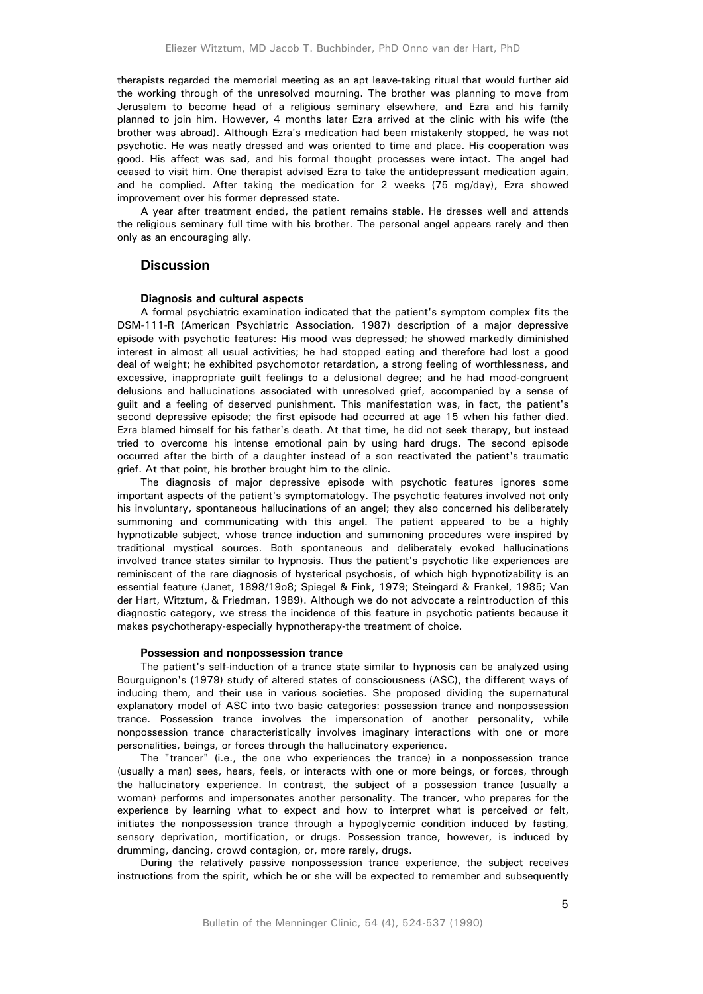therapists regarded the memorial meeting as an apt leave-taking ritual that would further aid the working through of the unresolved mourning. The brother was planning to move from Jerusalem to become head of a religious seminary elsewhere, and Ezra and his family planned to join him. However, 4 months later Ezra arrived at the clinic with his wife (the brother was abroad). Although Ezra's medication had been mistakenly stopped, he was not psychotic. He was neatly dressed and was oriented to time and place. His cooperation was good. His affect was sad, and his formal thought processes were intact. The angel had ceased to visit him. One therapist advised Ezra to take the antidepressant medication again, and he complied. After taking the medication for 2 weeks (75 mg/day), Ezra showed improvement over his former depressed state.

A year after treatment ended, the patient remains stable. He dresses well and attends the religious seminary full time with his brother. The personal angel appears rarely and then only as an encouraging ally.

## **Discussion**

#### **Diagnosis and cultural aspects**

A formal psychiatric examination indicated that the patient's symptom complex fits the DSM-111-R (American Psychiatric Association, 1987) description of a major depressive episode with psychotic features: His mood was depressed; he showed markedly diminished interest in almost all usual activities; he had stopped eating and therefore had lost a good deal of weight; he exhibited psychomotor retardation, a strong feeling of worthlessness, and excessive, inappropriate guilt feelings to a delusional degree; and he had mood-congruent delusions and hallucinations associated with unresolved grief, accompanied by a sense of guilt and a feeling of deserved punishment. This manifestation was, in fact, the patient's second depressive episode; the first episode had occurred at age 15 when his father died. Ezra blamed himself for his father's death. At that time, he did not seek therapy, but instead tried to overcome his intense emotional pain by using hard drugs. The second episode occurred after the birth of a daughter instead of a son reactivated the patient's traumatic grief. At that point, his brother brought him to the clinic.

The diagnosis of major depressive episode with psychotic features ignores some important aspects of the patient's symptomatology. The psychotic features involved not only his involuntary, spontaneous hallucinations of an angel; they also concerned his deliberately summoning and communicating with this angel. The patient appeared to be a highly hypnotizable subject, whose trance induction and summoning procedures were inspired by traditional mystical sources. Both spontaneous and deliberately evoked hallucinations involved trance states similar to hypnosis. Thus the patient's psychotic like experiences are reminiscent of the rare diagnosis of hysterical psychosis, of which high hypnotizability is an essential feature (Janet, 1898/19o8; Spiegel & Fink, 1979; Steingard & Frankel, 1985; Van der Hart, Witztum, & Friedman, 1989). Although we do not advocate a reintroduction of this diagnostic category, we stress the incidence of this feature in psychotic patients because it makes psychotherapy-especially hypnotherapy-the treatment of choice.

#### **Possession and nonpossession trance**

The patient's self-induction of a trance state similar to hypnosis can be analyzed using Bourguignon's (1979) study of altered states of consciousness (ASC), the different ways of inducing them, and their use in various societies. She proposed dividing the supernatural explanatory model of ASC into two basic categories: possession trance and nonpossession trance. Possession trance involves the impersonation of another personality, while nonpossession trance characteristically involves imaginary interactions with one or more personalities, beings, or forces through the hallucinatory experience.

The "trancer" (i.e., the one who experiences the trance) in a nonpossession trance (usually a man) sees, hears, feels, or interacts with one or more beings, or forces, through the hallucinatory experience. In contrast, the subject of a possession trance (usually a woman) performs and impersonates another personality. The trancer, who prepares for the experience by learning what to expect and how to interpret what is perceived or felt, initiates the nonpossession trance through a hypoglycemic condition induced by fasting, sensory deprivation, mortification, or drugs. Possession trance, however, is induced by drumming, dancing, crowd contagion, or, more rarely, drugs.

During the relatively passive nonpossession trance experience, the subject receives instructions from the spirit, which he or she will be expected to remember and subsequently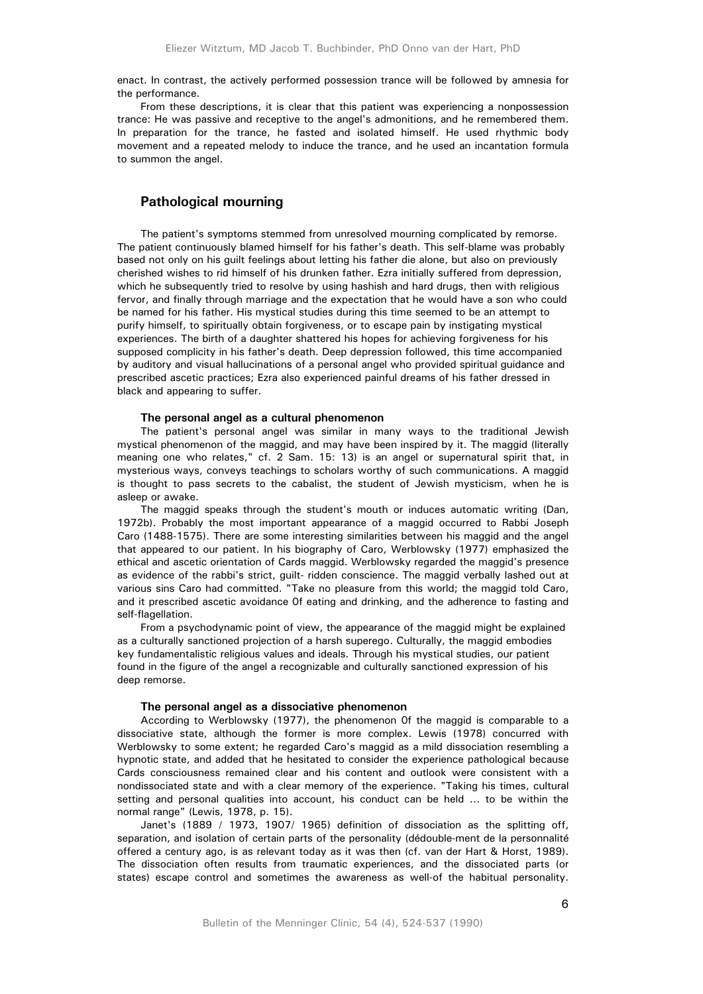enact. In contrast, the actively performed possession trance will be followed by amnesia for the performance.

From these descriptions, it is clear that this patient was experiencing a nonpossession trance: He was passive and receptive to the angel's admonitions, and he remembered them. In preparation for the trance, he fasted and isolated himself. He used rhythmic body movement and a repeated melody to induce the trance, and he used an incantation formula to summon the angel.

# **Pathological mourning**

The patient's symptoms stemmed from unresolved mourning complicated by remorse. The patient continuously blamed himself for his father's death. This self-blame was probably based not only on his guilt feelings about letting his father die alone, but also on previously cherished wishes to rid himself of his drunken father. Ezra initially suffered from depression, which he subsequently tried to resolve by using hashish and hard drugs, then with religious fervor, and finally through marriage and the expectation that he would have a son who could be named for his father. His mystical studies during this time seemed to be an attempt to purify himself, to spiritually obtain forgiveness, or to escape pain by instigating mystical experiences. The birth of a daughter shattered his hopes for achieving forgiveness for his supposed complicity in his father's death. Deep depression followed, this time accompanied by auditory and visual hallucinations of a personal angel who provided spiritual guidance and prescribed ascetic practices; Ezra also experienced painful dreams of his father dressed in black and appearing to suffer.

#### **The personal angel as a cultural phenomenon**

The patient's personal angel was similar in many ways to the traditional Jewish mystical phenomenon of the maggid, and may have been inspired by it. The maggid (literally meaning one who relates," cf. 2 Sam. 15: 13) is an angel or supernatural spirit that, in mysterious ways, conveys teachings to scholars worthy of such communications. A maggid is thought to pass secrets to the cabalist, the student of Jewish mysticism, when he is asleep or awake.

The maggid speaks through the student's mouth or induces automatic writing (Dan, 1972b). Probably the most important appearance of a maggid occurred to Rabbi Joseph Caro (1488-1575). There are some interesting similarities between his maggid and the angel that appeared to our patient. In his biography of Caro, Werblowsky (1977) emphasized the ethical and ascetic orientation of Cards maggid. Werblowsky regarded the maggid's presence as evidence of the rabbi's strict, guilt- ridden conscience. The maggid verbally lashed out at various sins Caro had committed. "Take no pleasure from this world; the maggid told Caro, and it prescribed ascetic avoidance 0f eating and drinking, and the adherence to fasting and self-flagellation.

From a psychodynamic point of view, the appearance of the maggid might be explained as a culturally sanctioned projection of a harsh superego. Culturally, the maggid embodies key fundamentalistic religious values and ideals. Through his mystical studies, our patient found in the figure of the angel a recognizable and culturally sanctioned expression of his deep remorse.

#### **The personal angel as a dissociative phenomenon**

According to Werblowsky (1977), the phenomenon 0f the maggid is comparable to a dissociative state, although the former is more complex. Lewis (1978) concurred with Werblowsky to some extent; he regarded Caro's maggid as a mild dissociation resembling a hypnotic state, and added that he hesitated to consider the experience pathological because Cards consciousness remained clear and his content and outlook were consistent with a nondissociated state and with a clear memory of the experience. "Taking his times, cultural setting and personal qualities into account, his conduct can be held ... to be within the normal range" (Lewis, 1978, p. 15).

Janet's (1889 / 1973, 1907/ 1965) definition of dissociation as the splitting off, separation, and isolation of certain parts of the personality (dédouble-ment de la personnalité offered a century ago, is as relevant today as it was then (cf. van der Hart & Horst, 1989). The dissociation often results from traumatic experiences, and the dissociated parts (or states) escape control and sometimes the awareness as well-of the habitual personality.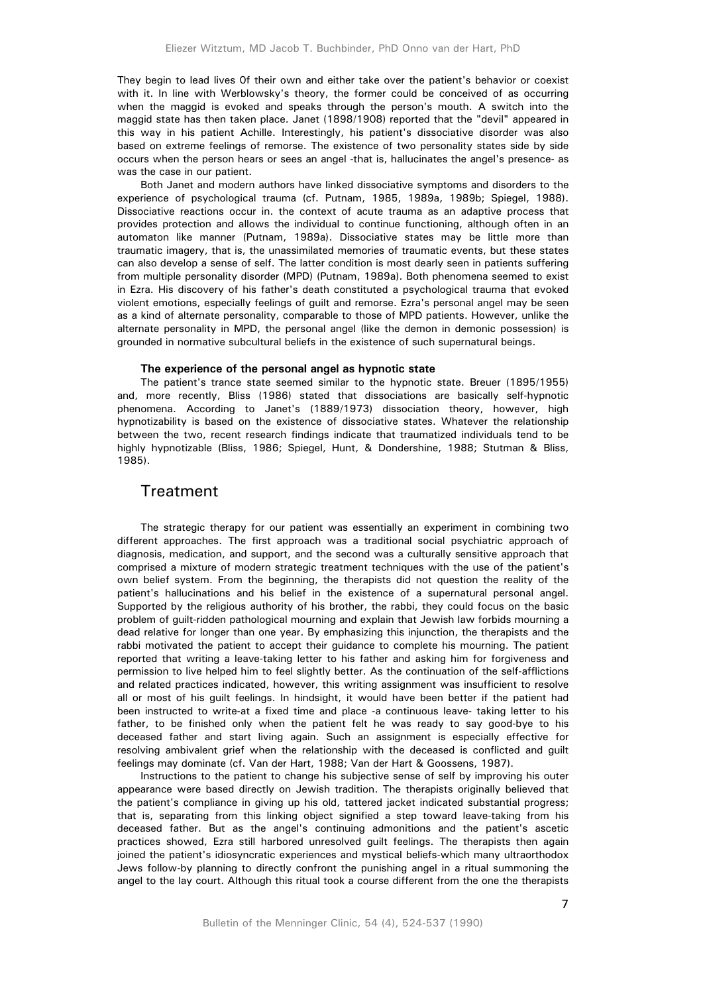They begin to lead lives 0f their own and either take over the patient's behavior or coexist with it. In line with Werblowsky's theory, the former could be conceived of as occurring when the maggid is evoked and speaks through the person's mouth. A switch into the maggid state has then taken place. Janet (1898/1908) reported that the "devil" appeared in this way in his patient Achille. Interestingly, his patient's dissociative disorder was also based on extreme feelings of remorse. The existence of two personality states side by side occurs when the person hears or sees an angel -that is, hallucinates the angel's presence- as was the case in our patient.

Both Janet and modern authors have linked dissociative symptoms and disorders to the experience of psychological trauma (cf. Putnam, 1985, 1989a, 1989b; Spiegel, 1988). Dissociative reactions occur in. the context of acute trauma as an adaptive process that provides protection and allows the individual to continue functioning, although often in an automaton like manner (Putnam, 1989a). Dissociative states may be little more than traumatic imagery, that is, the unassimilated memories of traumatic events, but these states can also develop a sense of self. The latter condition is most dearly seen in patients suffering from multiple personality disorder (MPD) (Putnam, 1989a). Both phenomena seemed to exist in Ezra. His discovery of his father's death constituted a psychological trauma that evoked violent emotions, especially feelings of guilt and remorse. Ezra's personal angel may be seen as a kind of alternate personality, comparable to those of MPD patients. However, unlike the alternate personality in MPD, the personal angel (like the demon in demonic possession) is grounded in normative subcultural beliefs in the existence of such supernatural beings.

#### **The experience of the personal angel as hypnotic state**

The patient's trance state seemed similar to the hypnotic state. Breuer (1895/1955) and, more recently, Bliss (1986) stated that dissociations are basically self-hypnotic phenomena. According to Janet's (1889/1973) dissociation theory, however, high hypnotizability is based on the existence of dissociative states. Whatever the relationship between the two, recent research findings indicate that traumatized individuals tend to be highly hypnotizable (Bliss, 1986; Spiegel, Hunt, & Dondershine, 1988; Stutman & Bliss, 1985).

# **Treatment**

The strategic therapy for our patient was essentially an experiment in combining two different approaches. The first approach was a traditional social psychiatric approach of diagnosis, medication, and support, and the second was a culturally sensitive approach that comprised a mixture of modern strategic treatment techniques with the use of the patient's own belief system. From the beginning, the therapists did not question the reality of the patient's hallucinations and his belief in the existence of a supernatural personal angel. Supported by the religious authority of his brother, the rabbi, they could focus on the basic problem of guilt-ridden pathological mourning and explain that Jewish law forbids mourning a dead relative for longer than one year. By emphasizing this injunction, the therapists and the rabbi motivated the patient to accept their guidance to complete his mourning. The patient reported that writing a leave-taking letter to his father and asking him for forgiveness and permission to live helped him to feel slightly better. As the continuation of the self-afflictions and related practices indicated, however, this writing assignment was insufficient to resolve all or most of his guilt feelings. In hindsight, it would have been better if the patient had been instructed to write-at a fixed time and place -a continuous leave- taking letter to his father, to be finished only when the patient felt he was ready to say good-bye to his deceased father and start living again. Such an assignment is especially effective for resolving ambivalent grief when the relationship with the deceased is conflicted and guilt feelings may dominate (cf. Van der Hart, 1988; Van der Hart & Goossens, 1987).

Instructions to the patient to change his subjective sense of self by improving his outer appearance were based directly on Jewish tradition. The therapists originally believed that the patient's compliance in giving up his old, tattered jacket indicated substantial progress; that is, separating from this linking object signified a step toward leave-taking from his deceased father. But as the angel's continuing admonitions and the patient's ascetic practices showed, Ezra still harbored unresolved guilt feelings. The therapists then again joined the patient's idiosyncratic experiences and mystical beliefs-which many ultraorthodox Jews follow-by planning to directly confront the punishing angel in a ritual summoning the angel to the lay court. Although this ritual took a course different from the one the therapists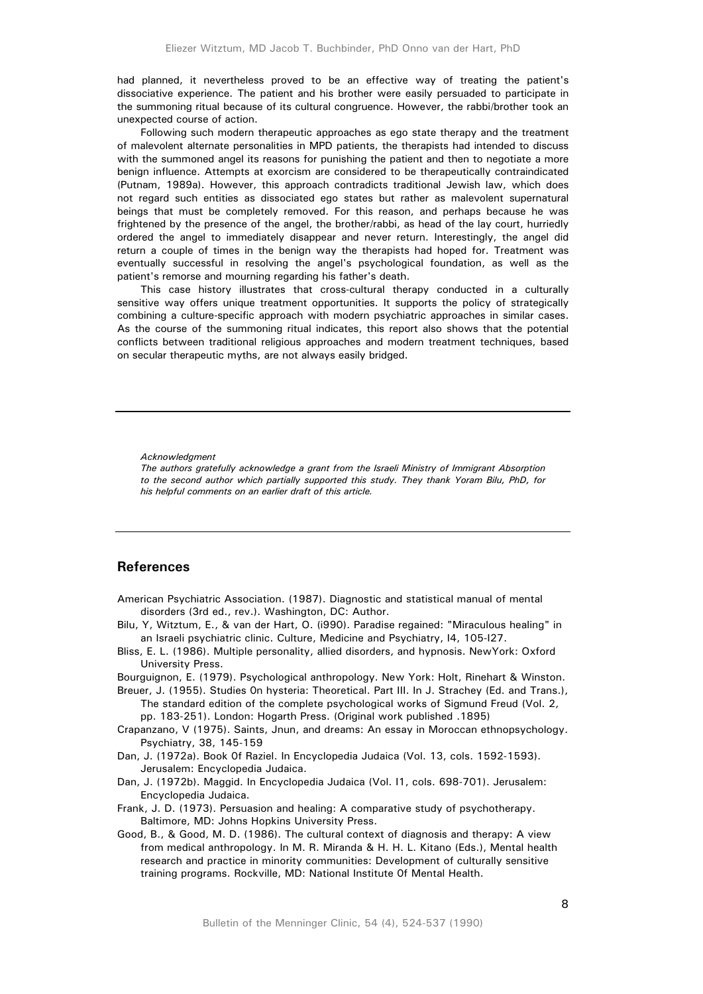had planned, it nevertheless proved to be an effective way of treating the patient's dissociative experience. The patient and his brother were easily persuaded to participate in the summoning ritual because of its cultural congruence. However, the rabbi/brother took an unexpected course of action.

Following such modern therapeutic approaches as ego state therapy and the treatment of malevolent alternate personalities in MPD patients, the therapists had intended to discuss with the summoned angel its reasons for punishing the patient and then to negotiate a more benign influence. Attempts at exorcism are considered to be therapeutically contraindicated (Putnam, 1989a). However, this approach contradicts traditional Jewish law, which does not regard such entities as dissociated ego states but rather as malevolent supernatural beings that must be completely removed. For this reason, and perhaps because he was frightened by the presence of the angel, the brother/rabbi, as head of the lay court, hurriedly ordered the angel to immediately disappear and never return. Interestingly, the angel did return a couple of times in the benign way the therapists had hoped for. Treatment was eventually successful in resolving the angel's psychological foundation, as well as the patient's remorse and mourning regarding his father's death.

This case history illustrates that cross-cultural therapy conducted in a culturally sensitive way offers unique treatment opportunities. It supports the policy of strategically combining a culture-specific approach with modern psychiatric approaches in similar cases. As the course of the summoning ritual indicates, this report also shows that the potential conflicts between traditional religious approaches and modern treatment techniques, based on secular therapeutic myths, are not always easily bridged.

#### *Acknowledgment*

*The authors gratefully acknowledge a grant from the Israeli Ministry of Immigrant Absorption to the second author which partially supported this study. They thank Yoram Bilu, PhD, for his helpful comments on an earlier draft of this article.* 

# **References**

- American Psychiatric Association. (1987). Diagnostic and statistical manual of mental disorders (3rd ed., rev.). Washington, DC: Author.
- Bilu, Y, Witztum, E., & van der Hart, O. (i990). Paradise regained: "Miraculous healing" in an Israeli psychiatric clinic. Culture, Medicine and Psychiatry, I4, 105-I27.
- Bliss, E. L. (1986). Multiple personality, allied disorders, and hypnosis. NewYork: Oxford University Press.
- Bourguignon, E. (1979). Psychological anthropology. New York: Holt, Rinehart & Winston.
- Breuer, J. (1955). Studies 0n hysteria: Theoretical. Part III. In J. Strachey (Ed. and Trans.), The standard edition of the complete psychological works of Sigmund Freud (Vol. 2, pp. 183-251). London: Hogarth Press. (Original work published .1895)
- Crapanzano, V (1975). Saints, Jnun, and dreams: An essay in Moroccan ethnopsychology. Psychiatry, 38, 145-159
- Dan, J. (1972a). Book 0f Raziel. In Encyclopedia Judaica (Vol. 13, cols. 1592-1593). Jerusalem: Encyclopedia Judaica.
- Dan, J. (1972b). Maggid. In Encyclopedia Judaica (Vol. I1, cols. 698-701). Jerusalem: Encyclopedia Judaica.
- Frank, J. D. (1973). Persuasion and healing: A comparative study of psychotherapy. Baltimore, MD: Johns Hopkins University Press.
- Good, B., & Good, M. D. (1986). The cultural context of diagnosis and therapy: A view from medical anthropology. In M. R. Miranda & H. H. L. Kitano (Eds.), Mental health research and practice in minority communities: Development of culturally sensitive training programs. Rockville, MD: National Institute 0f Mental Health.